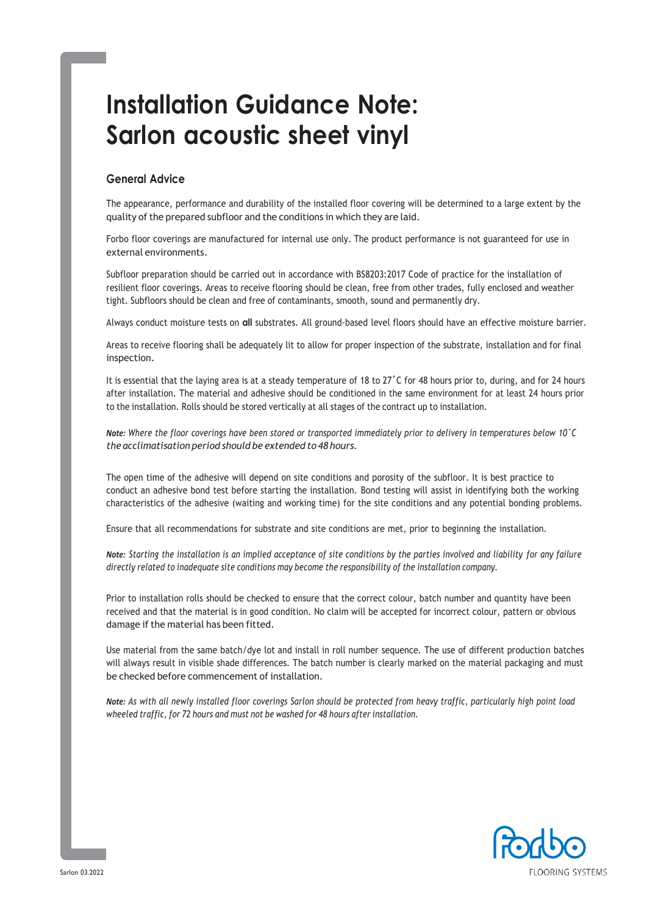# **Installation Guidance Note: Sarlon acoustic sheet vinyl**

# **General Advice**

The appearance, performance and durability of the installed floor covering will be determined to a large extent by the quality of the prepared subfloor and the conditions in which they are laid.

Forbo floor coverings are manufactured for internal use only. The product performance is not guaranteed for use in external environments.

Subfloor preparation should be carried out in accordance with BS8203:2017 Code of practice for the installation of resilient floor coverings. Areas to receive flooring should be clean, free from other trades, fully enclosed and weather tight. Subfloors should be clean and free of contaminants, smooth, sound and permanently dry.

Always conduct moisture tests on **all** substrates. All ground-based level floors should have an effective moisture barrier.

Areas to receive flooring shall be adequately lit to allow for proper inspection of the substrate, installation and for final inspection.

It is essential that the laying area is at a steady temperature of 18 to 27°C for 48 hours prior to, during, and for 24 hours after installation. The material and adhesive should be conditioned in the same environment for at least 24 hours prior to the installation. Rolls should be stored vertically at all stages of the contract up to installation.

Note: Where the floor coverings have been stored or transported immediately prior to delivery in temperatures below 10°C *the acclimatisation period should be extended to 48 hours.*

The open time of the adhesive will depend on site conditions and porosity of the subfloor. It is best practice to conduct an adhesive bond test before starting the installation. Bond testing will assist in identifying both the working characteristics of the adhesive (waiting and working time) for the site conditions and any potential bonding problems.

Ensure that all recommendations for substrate and site conditions are met, prior to beginning the installation.

*Note: Starting the installation is an implied acceptance of site conditions by the parties involved and liability for any failure directly related to inadequate site conditions may become the responsibility of the installation company.*

Prior to installation rolls should be checked to ensure that the correct colour, batch number and quantity have been received and that the material is in good condition. No claim will be accepted for incorrect colour, pattern or obvious damage if the material has been fitted.

Use material from the same batch/dye lot and install in roll number sequence. The use of different production batches will always result in visible shade differences. The batch number is clearly marked on the material packaging and must be checked before commencement of installation.

Note: As with all newly installed floor coverings Sarlon should be protected from heavy traffic, particularly high point load *wheeled traffic, for 72 hours and must not be washed for 48 hours after installation.*

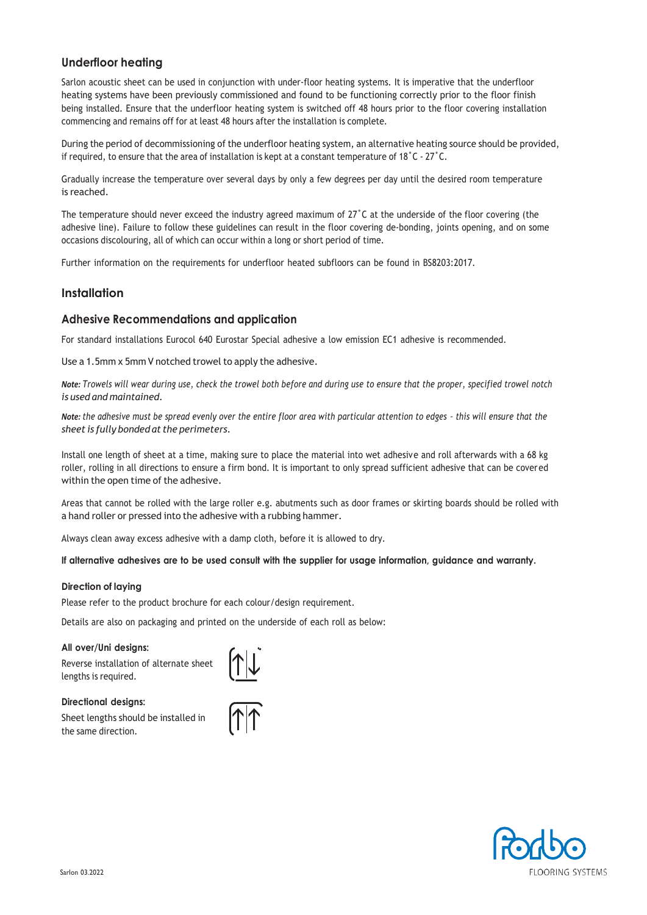# **Underfloor heating**

Sarlon acoustic sheet can be used in conjunction with under-floor heating systems. It is imperative that the underfloor heating systems have been previously commissioned and found to be functioning correctly prior to the floor finish being installed. Ensure that the underfloor heating system is switched off 48 hours prior to the floor covering installation commencing and remains off for at least 48 hours after the installation is complete.

During the period of decommissioning of the underfloor heating system, an alternative heating source should be provided, if required, to ensure that the area of installation is kept at a constant temperature of 18˚C - 27˚C.

Gradually increase the temperature over several days by only a few degrees per day until the desired room temperature is reached.

The temperature should never exceed the industry agreed maximum of 27˚C at the underside of the floor covering (the adhesive line). Failure to follow these guidelines can result in the floor covering de-bonding, joints opening, and on some occasions discolouring, all of which can occur within a long or short period of time.

Further information on the requirements for underfloor heated subfloors can be found in BS8203:2017.

## **Installation**

## **Adhesive Recommendations and application**

For standard installations Eurocol 640 Eurostar Special adhesive a low emission EC1 adhesive is recommended.

Use a 1.5mm x 5mm V notched trowel to apply the adhesive.

*Note: Trowels will wear during use, check the trowel both before and during use to ensure that the proper, specified trowel notch is used and maintained.*

*Note: the adhesive must be spread evenly over the entire floor area with particular attention to edges – this will ensure that the sheet is fully bonded at the perimeters.*

Install one length of sheet at a time, making sure to place the material into wet adhesive and roll afterwards with a 68 kg roller, rolling in all directions to ensure a firm bond. It is important to only spread sufficient adhesive that can be covered within the open time of the adhesive.

Areas that cannot be rolled with the large roller e.g. abutments such as door frames or skirting boards should be rolled with a hand roller or pressed into the adhesive with a rubbing hammer.

Always clean away excess adhesive with a damp cloth, before it is allowed to dry.

If alternative adhesives are to be used consult with the supplier for usage information, guidance and warranty.

#### **Direction of laying**

Please refer to the product brochure for each colour/design requirement.

Details are also on packaging and printed on the underside of each roll as below:

#### **All over/Uni designs:**

Reverse installation of alternate sheet lengths is required.



#### **Directional designs:**

Sheet lengths should be installed in the same direction.



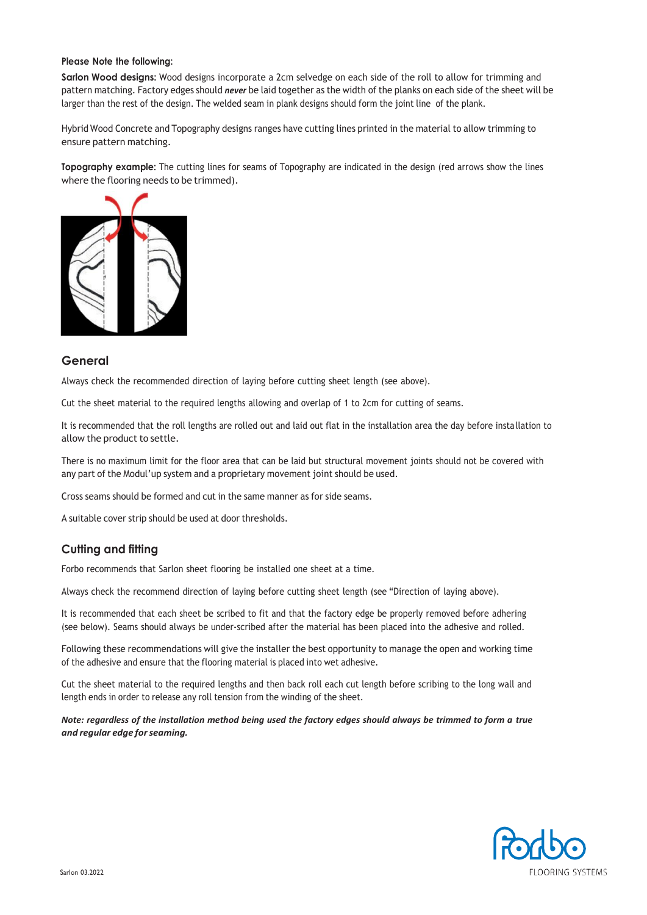#### **Please Note the following:**

**Sarlon Wood designs:** Wood designs incorporate a 2cm selvedge on each side of the roll to allow for trimming and pattern matching. Factory edges should *never* be laid together as the width of the planks on each side of the sheet will be larger than the rest of the design. The welded seam in plank designs should form the joint line of the plank.

Hybrid Wood Concrete and Topography designs ranges have cutting lines printed in the material to allow trimming to ensure pattern matching.

**Topography example:** The cutting lines for seams of Topography are indicated in the design (red arrows show the lines where the flooring needs to be trimmed).



## **General**

Always check the recommended direction of laying before cutting sheet length (see above).

Cut the sheet material to the required lengths allowing and overlap of 1 to 2cm for cutting of seams.

It is recommended that the roll lengths are rolled out and laid out flat in the installation area the day before installation to allow the product to settle.

There is no maximum limit for the floor area that can be laid but structural movement joints should not be covered with any part of the Modul'up system and a proprietary movement joint should be used.

Cross seams should be formed and cut in the same manner as for side seams.

A suitable cover strip should be used at door thresholds.

## **Cutting and fitting**

Forbo recommends that Sarlon sheet flooring be installed one sheet at a time.

Always check the recommend direction of laying before cutting sheet length (see "Direction of laying above).

It is recommended that each sheet be scribed to fit and that the factory edge be properly removed before adhering (see below). Seams should always be under-scribed after the material has been placed into the adhesive and rolled.

Following these recommendations will give the installer the best opportunity to manage the open and working time of the adhesive and ensure that the flooring material is placed into wet adhesive.

Cut the sheet material to the required lengths and then back roll each cut length before scribing to the long wall and length ends in order to release any roll tension from the winding of the sheet.

Note: regardless of the installation method being used the factory edges should always be trimmed to form a true *and regular edge forseaming.*

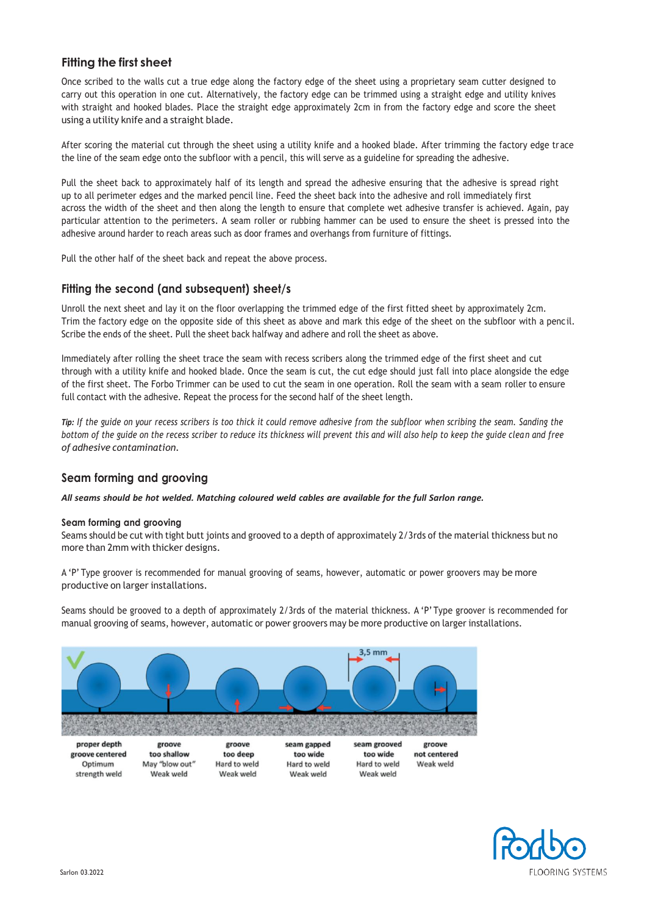# **Fitting the first sheet**

Once scribed to the walls cut a true edge along the factory edge of the sheet using a proprietary seam cutter designed to carry out this operation in one cut. Alternatively, the factory edge can be trimmed using a straight edge and utility knives with straight and hooked blades. Place the straight edge approximately 2cm in from the factory edge and score the sheet using a utility knife and a straight blade.

After scoring the material cut through the sheet using a utility knife and a hooked blade. After trimming the factory edge trace the line of the seam edge onto the subfloor with a pencil, this will serve as a guideline for spreading the adhesive.

Pull the sheet back to approximately half of its length and spread the adhesive ensuring that the adhesive is spread right up to all perimeter edges and the marked pencil line. Feed the sheet back into the adhesive and roll immediately first across the width of the sheet and then along the length to ensure that complete wet adhesive transfer is achieved. Again, pay particular attention to the perimeters. A seam roller or rubbing hammer can be used to ensure the sheet is pressed into the adhesive around harder to reach areas such as door frames and overhangs from furniture of fittings.

Pull the other half of the sheet back and repeat the above process.

## **Fitting the second (and subsequent) sheet/s**

Unroll the next sheet and lay it on the floor overlapping the trimmed edge of the first fitted sheet by approximately 2cm. Trim the factory edge on the opposite side of this sheet as above and mark this edge of the sheet on the subfloor with a pencil. Scribe the ends of the sheet. Pull the sheet back halfway and adhere and roll the sheet as above.

Immediately after rolling the sheet trace the seam with recess scribers along the trimmed edge of the first sheet and cut through with a utility knife and hooked blade. Once the seam is cut, the cut edge should just fall into place alongside the edge of the first sheet. The Forbo Trimmer can be used to cut the seam in one operation. Roll the seam with a seam roller to ensure full contact with the adhesive. Repeat the process for the second half of the sheet length.

Tip: If the guide on your recess scribers is too thick it could remove adhesive from the subfloor when scribing the seam. Sanding the *bottom of the guide on the recess scriber to reduce its thickness will prevent this and will also help to keep the guide clean and free of adhesive contamination.*

## **Seam forming and grooving**

*All seams should be hot welded. Matching coloured weld cables are available for the full Sarlon range.*

#### **Seam forming and grooving**

Seams should be cut with tight butt joints and grooved to a depth of approximately 2/3rds of the material thickness but no more than 2mm with thicker designs.

A 'P' Type groover is recommended for manual grooving of seams, however, automatic or power groovers may be more productive on larger installations.

Seams should be grooved to a depth of approximately 2/3rds of the material thickness. A 'P' Type groover is recommended for manual grooving of seams, however, automatic or power groovers may be more productive on larger installations.



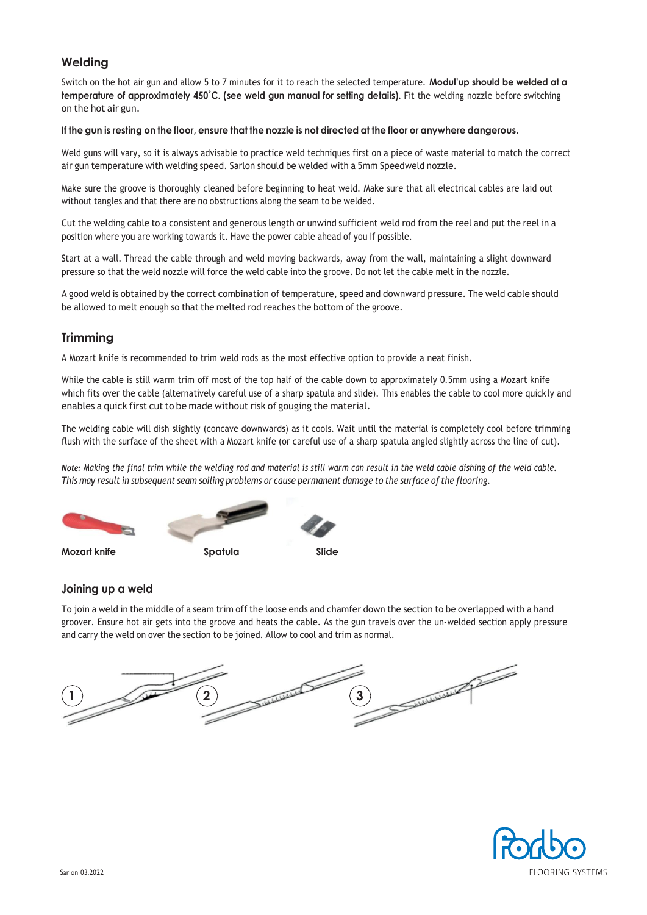# **Welding**

Switch on the hot air gun and allow 5 to 7 minutes for it to reach the selected temperature. **Modul'up should be welded at a temperature of approximately 450˚C. (see weld gun manual for setting details).** Fit the welding nozzle before switching on the hot air gun.

#### If the gun is resting on the floor, ensure that the nozzle is not directed at the floor or anywhere dangerous.

Weld guns will vary, so it is always advisable to practice weld techniques first on a piece of waste material to match the correct air gun temperature with welding speed. Sarlon should be welded with a 5mm Speedweld nozzle.

Make sure the groove is thoroughly cleaned before beginning to heat weld. Make sure that all electrical cables are laid out without tangles and that there are no obstructions along the seam to be welded.

Cut the welding cable to a consistent and generous length or unwind sufficient weld rod from the reel and put the reel in a position where you are working towards it. Have the power cable ahead of you if possible.

Start at a wall. Thread the cable through and weld moving backwards, away from the wall, maintaining a slight downward pressure so that the weld nozzle will force the weld cable into the groove. Do not let the cable melt in the nozzle.

A good weld is obtained by the correct combination of temperature, speed and downward pressure. The weld cable should be allowed to melt enough so that the melted rod reaches the bottom of the groove.

## **Trimming**

A Mozart knife is recommended to trim weld rods as the most effective option to provide a neat finish.

While the cable is still warm trim off most of the top half of the cable down to approximately 0.5mm using a Mozart knife which fits over the cable (alternatively careful use of a sharp spatula and slide). This enables the cable to cool more quick ly and enables a quick first cut to be made without risk of gouging the material.

The welding cable will dish slightly (concave downwards) as it cools. Wait until the material is completely cool before trimming flush with the surface of the sheet with a Mozart knife (or careful use of a sharp spatula angled slightly across the line of cut).

Note: Making the final trim while the welding rod and material is still warm can result in the weld cable dishing of the weld cable. This may result in subsequent seam soiling problems or cause permanent damage to the surface of the flooring.



## **Joining up a weld**

To join a weld in the middle of a seam trim off the loose ends and chamfer down the section to be overlapped with a hand groover. Ensure hot air gets into the groove and heats the cable. As the gun travels over the un-welded section apply pressure and carry the weld on over the section to be joined. Allow to cool and trim as normal.